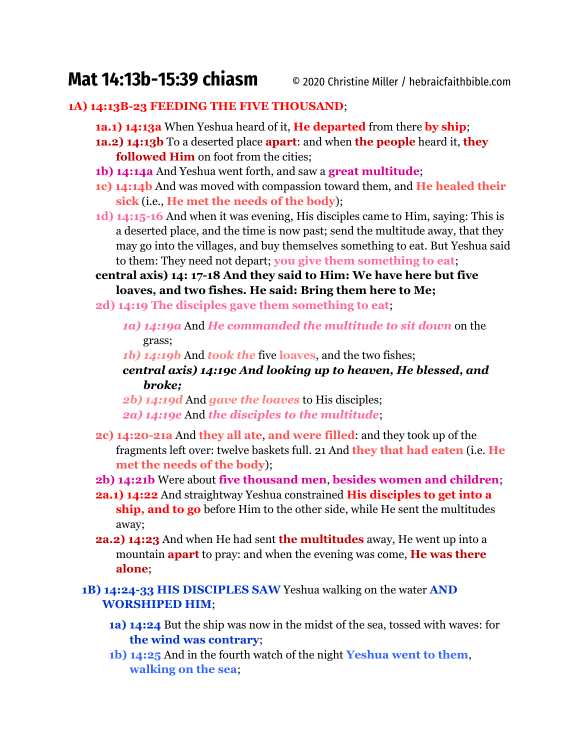# **Mat 14:13b-15:39 chiasm** © 2020 Christine Miller / hebraicfaithbible.com

#### **1A) 14:13B-23 FEEDING THE FIVE THOUSAND**;

- **1a.1) 14:13a** When Yeshua heard of it, **He departed** from there **by ship**;
- **1a.2) 14:13b** To a deserted place **apart**: and when **the people** heard it, **they followed Him** on foot from the cities;
- **1b) 14:14a** And Yeshua went forth, and saw a **great multitude**;
- **1c) 14:14b** And was moved with compassion toward them, and **He healed their sick** (i.e., **He met the needs of the body**);
- **1d) 14:15-16** And when it was evening, His disciples came to Him, saying: This is a deserted place, and the time is now past; send the multitude away, that they may go into the villages, and buy themselves something to eat. But Yeshua said to them: They need not depart; **you give them something to eat**;

**central axis) 14: 17-18 And they said to Him: We have here but five loaves, and two fishes. He said: Bring them here to Me;**

- **2d) 14:19 The disciples gave them something to eat**;
	- *1a) 14:19a* And *He commanded the multitude to sit down* on the grass;
	- *1b) 14:19b* And *took the* five **loaves**, and the two fishes;
	- *central axis) 14:19c And looking up to heaven, He blessed, and broke;*
	- *2b) 14:19d* And *gave the loaves* to His disciples; *2a) 14:19e* And *the disciples to the multitude*;
- **2c) 14:20-21a** And **they all ate**, **and were filled**: and they took up of the fragments left over: twelve baskets full. 21 And **they that had eaten** (i.e. **He met the needs of the body**);
- **2b) 14:21b** Were about **five thousand men**, **besides women and children**;
- **2a.1) 14:22** And straightway Yeshua constrained **His disciples to get into a ship, and to go** before Him to the other side, while He sent the multitudes away;
- **2a.2) 14:23** And when He had sent **the multitudes** away, He went up into a mountain **apart** to pray: and when the evening was come, **He was there alone**;

**1B) 14:24-33 HIS DISCIPLES SAW** Yeshua walking on the water **AND WORSHIPED HIM**;

- **1a) 14:24** But the ship was now in the midst of the sea, tossed with waves: for **the wind was contrary**;
- **1b) 14:25** And in the fourth watch of the night **Yeshua went to them**, **walking on the sea**;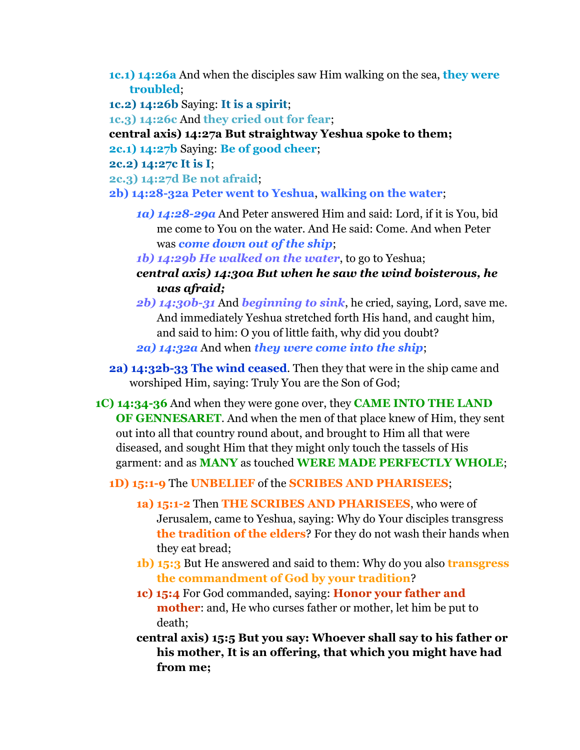- **1c.1) 14:26a** And when the disciples saw Him walking on the sea, **they were troubled**;
- **1c.2) 14:26b** Saying: **It is a spirit**;

**1c.3) 14:26c** And **they cried out for fear**;

- **central axis) 14:27a But straightway Yeshua spoke to them;**
- **2c.1) 14:27b** Saying: **Be of good cheer**;

**2c.2) 14:27c It is I**;

**2c.3) 14:27d Be not afraid**;

**2b) 14:28-32a Peter went to Yeshua**, **walking on the water**;

- *1a) 14:28-29a* And Peter answered Him and said: Lord, if it is You, bid me come to You on the water. And He said: Come. And when Peter was *come down out of the ship*;
- *1b) 14:29b He walked on the water*, to go to Yeshua;
- *central axis) 14:30a But when he saw the wind boisterous, he was afraid;*
- *2b) 14:30b-31* And *beginning to sink*, he cried, saying, Lord, save me. And immediately Yeshua stretched forth His hand, and caught him, and said to him: O you of little faith, why did you doubt? *2a) 14:32a* And when *they were come into the ship*;
- **2a) 14:32b-33 The wind ceased**. Then they that were in the ship came and worshiped Him, saying: Truly You are the Son of God;
- **1C) 14:34-36** And when they were gone over, they **CAME INTO THE LAND OF GENNESARET**. And when the men of that place knew of Him, they sent out into all that country round about, and brought to Him all that were diseased, and sought Him that they might only touch the tassels of His garment: and as **MANY** as touched **WERE MADE PERFECTLY WHOLE**;

#### **1D) 15:1-9** The **UNBELIEF** of the **SCRIBES AND PHARISEES**;

- **1a) 15:1-2** Then **THE SCRIBES AND PHARISEES**, who were of Jerusalem, came to Yeshua, saying: Why do Your disciples transgress **the tradition of the elders**? For they do not wash their hands when they eat bread;
- **1b) 15:3** But He answered and said to them: Why do you also **transgress the commandment of God by your tradition**?
- **1c) 15:4** For God commanded, saying: **Honor your father and mother**: and, He who curses father or mother, let him be put to death;
- **central axis) 15:5 But you say: Whoever shall say to his father or his mother, It is an offering, that which you might have had from me;**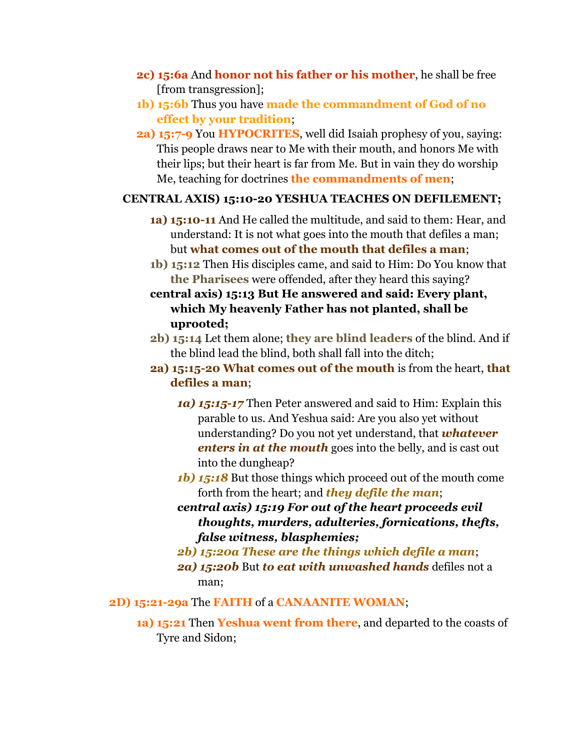- **2c) 15:6a** And **honor not his father or his mother**, he shall be free [from transgression];
- **1b) 15:6b** Thus you have **made the commandment of God of no effect by your tradition**;
- **2a) 15:7-9** You **HYPOCRITES**, well did Isaiah prophesy of you, saying: This people draws near to Me with their mouth, and honors Me with their lips; but their heart is far from Me. But in vain they do worship Me, teaching for doctrines **the commandments of men**;

### **CENTRAL AXIS) 15:10-20 YESHUA TEACHES ON DEFILEMENT;**

- **1a) 15:10-11** And He called the multitude, and said to them: Hear, and understand: It is not what goes into the mouth that defiles a man; but **what comes out of the mouth that defiles a man**;
- **1b) 15:12** Then His disciples came, and said to Him: Do You know that **the Pharisees** were offended, after they heard this saying?
- **central axis) 15:13 But He answered and said: Every plant, which My heavenly Father has not planted, shall be uprooted;**
- **2b) 15:14** Let them alone; **they are blind leaders** of the blind. And if the blind lead the blind, both shall fall into the ditch;
- **2a) 15:15-20 What comes out of the mouth** is from the heart, **that defiles a man**;
	- *1a) 15:15-17* Then Peter answered and said to Him: Explain this parable to us. And Yeshua said: Are you also yet without understanding? Do you not yet understand, that *whatever enters in at the mouth* goes into the belly, and is cast out into the dungheap?
	- *1b) 15:18* But those things which proceed out of the mouth come forth from the heart; and *they defile the man*;
	- *central axis) 15:19 For out of the heart proceeds evil thoughts, murders, adulteries, fornications, thefts, false witness, blasphemies;*
	- *2b) 15:20a These are the things which defile a man*;
	- *2a) 15:20b* But *to eat with unwashed hands* defiles not a man;
- **2D) 15:21-29a** The **FAITH** of a **CANAANITE WOMAN**;
	- **1a) 15:21** Then **Yeshua went from there**, and departed to the coasts of Tyre and Sidon;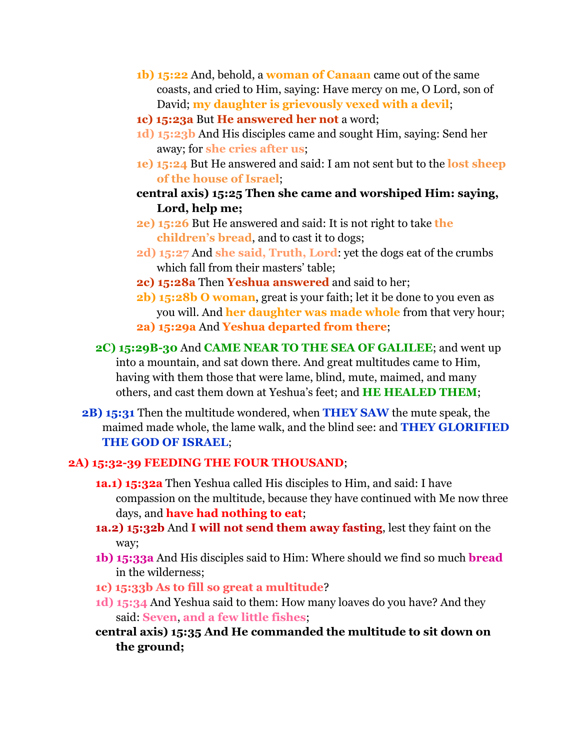- **1b) 15:22** And, behold, a **woman of Canaan** came out of the same coasts, and cried to Him, saying: Have mercy on me, O Lord, son of David; **my daughter is grievously vexed with a devil**;
- **1c) 15:23a** But **He answered her not** a word;
- **1d) 15:23b** And His disciples came and sought Him, saying: Send her away; for **she cries after us**;
- **1e) 15:24** But He answered and said: I am not sent but to the **lost sheep of the house of Israel**;
- **central axis) 15:25 Then she came and worshiped Him: saying, Lord, help me;**
- **2e) 15:26** But He answered and said: It is not right to take **the children's bread**, and to cast it to dogs;
- **2d) 15:27** And **she said, Truth, Lord**: yet the dogs eat of the crumbs which fall from their masters' table;
- **2c) 15:28a** Then **Yeshua answered** and said to her;
- **2b) 15:28b O woman**, great is your faith; let it be done to you even as you will. And **her daughter was made whole** from that very hour;
- **2a) 15:29a** And **Yeshua departed from there**;
- **2C) 15:29B-30** And **CAME NEAR TO THE SEA OF GALILEE**; and went up into a mountain, and sat down there. And great multitudes came to Him, having with them those that were lame, blind, mute, maimed, and many others, and cast them down at Yeshua's feet; and **HE HEALED THEM**;
- **2B) 15:31** Then the multitude wondered, when **THEY SAW** the mute speak, the maimed made whole, the lame walk, and the blind see: and **THEY GLORIFIED THE GOD OF ISRAEL**;

## **2A) 15:32-39 FEEDING THE FOUR THOUSAND**;

- **1a.1) 15:32a** Then Yeshua called His disciples to Him, and said: I have compassion on the multitude, because they have continued with Me now three days, and **have had nothing to eat**;
- **1a.2) 15:32b** And **I will not send them away fasting**, lest they faint on the way;
- **1b) 15:33a** And His disciples said to Him: Where should we find so much **bread** in the wilderness;
- **1c) 15:33b As to fill so great a multitude**?
- **1d) 15:34** And Yeshua said to them: How many loaves do you have? And they said: **Seven**, **and a few little fishes**;
- **central axis) 15:35 And He commanded the multitude to sit down on the ground;**